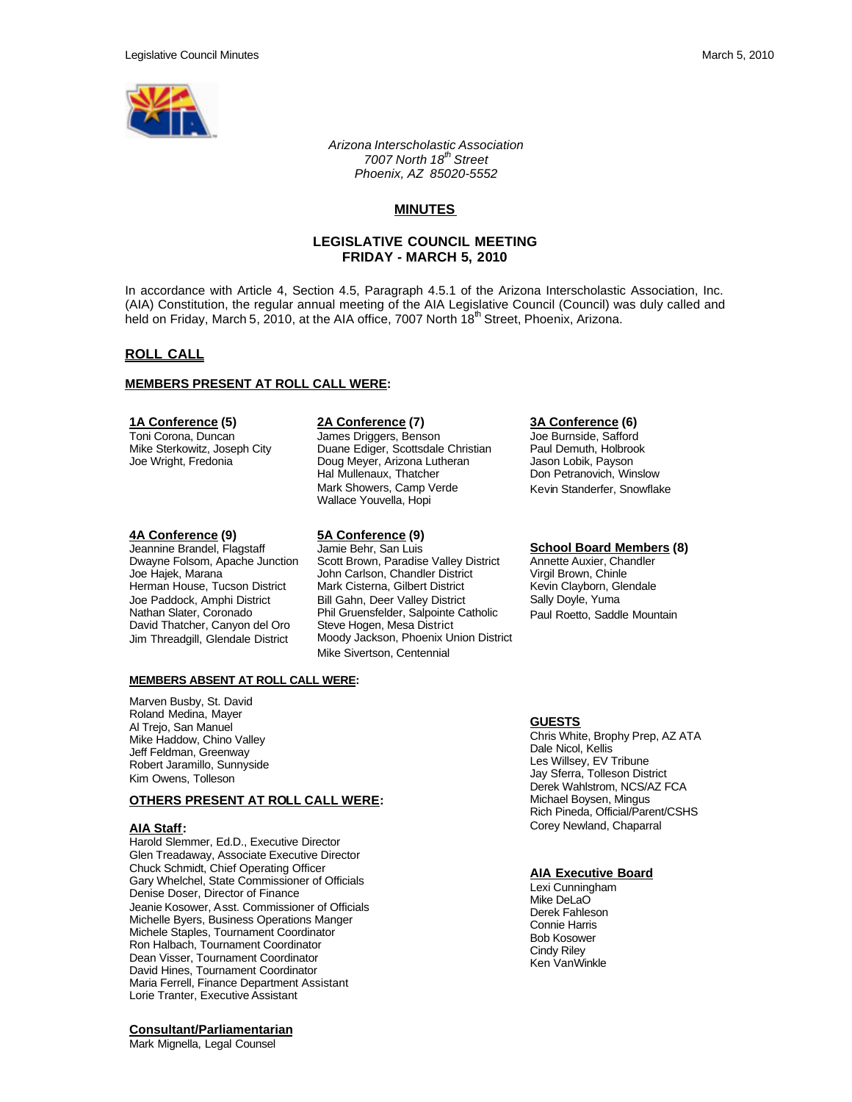

*Arizona Interscholastic Association 7007 North 18th Street Phoenix, AZ 85020-5552*

# **MINUTES**

# **LEGISLATIVE COUNCIL MEETING FRIDAY - MARCH 5, 2010**

In accordance with Article 4, Section 4.5, Paragraph 4.5.1 of the Arizona Interscholastic Association, Inc. (AIA) Constitution, the regular annual meeting of the AIA Legislative Council (Council) was duly called and held on Friday, March 5, 2010, at the AIA office, 7007 North 18<sup>th</sup> Street, Phoenix, Arizona.

# **ROLL CALL**

#### **MEMBERS PRESENT AT ROLL CALL WERE:**

#### **1A Conference (5)**

Toni Corona, Duncan Mike Sterkowitz, Joseph City Joe Wright, Fredonia

#### **4A Conference (9)**

Jeannine Brandel, Flagstaff Dwayne Folsom, Apache Junction Joe Hajek, Marana Herman House, Tucson District Joe Paddock, Amphi District Nathan Slater, Coronado David Thatcher, Canyon del Oro Jim Threadgill, Glendale District

### **2A Conference (7)**

James Driggers, Benson Duane Ediger, Scottsdale Christian Doug Meyer, Arizona Lutheran Hal Mullenaux, Thatcher Mark Showers, Camp Verde Wallace Youvella, Hopi

#### **5A Conference (9)**

Jamie Behr, San Luis Scott Brown, Paradise Valley District John Carlson, Chandler District Mark Cisterna, Gilbert District Bill Gahn, Deer Valley District Phil Gruensfelder, Salpointe Catholic Steve Hogen, Mesa District Moody Jackson, Phoenix Union District Mike Sivertson, Centennial

#### **3A Conference (6)**

Joe Burnside, Safford Paul Demuth, Holbrook Jason Lobik, Payson Don Petranovich, Winslow Kevin Standerfer, Snowflake

# **School Board Members (8)**

Annette Auxier, Chandler Virgil Brown, Chinle Kevin Clayborn, Glendale Sally Doyle, Yuma Paul Roetto, Saddle Mountain

## **MEMBERS ABSENT AT ROLL CALL WERE:**

Marven Busby, St. David Roland Medina, Mayer Al Trejo, San Manuel Mike Haddow, Chino Valley Jeff Feldman, Greenway Robert Jaramillo, Sunnyside Kim Owens, Tolleson

## **OTHERS PRESENT AT ROLL CALL WERE:**

#### **AIA Staff:**

Harold Slemmer, Ed.D., Executive Director Glen Treadaway, Associate Executive Director Chuck Schmidt, Chief Operating Officer Gary Whelchel, State Commissioner of Officials Denise Doser, Director of Finance Jeanie Kosower, Asst. Commissioner of Officials Michelle Byers, Business Operations Manger Michele Staples, Tournament Coordinator Ron Halbach, Tournament Coordinator Dean Visser, Tournament Coordinator David Hines, Tournament Coordinator Maria Ferrell, Finance Department Assistant Lorie Tranter, Executive Assistant

## **Consultant/Parliamentarian**

Mark Mignella, Legal Counsel

## **GUESTS**

Chris White, Brophy Prep, AZ ATA Dale Nicol, Kellis Les Willsey, EV Tribune Jay Sferra, Tolleson District Derek Wahlstrom, NCS/AZ FCA Michael Boysen, Mingus Rich Pineda, Official/Parent/CSHS Corey Newland, Chaparral

## **AIA Executive Board**

Lexi Cunningham Mike DeLaO Derek Fahleson Connie Harris Bob Kosower Cindy Riley Ken VanWinkle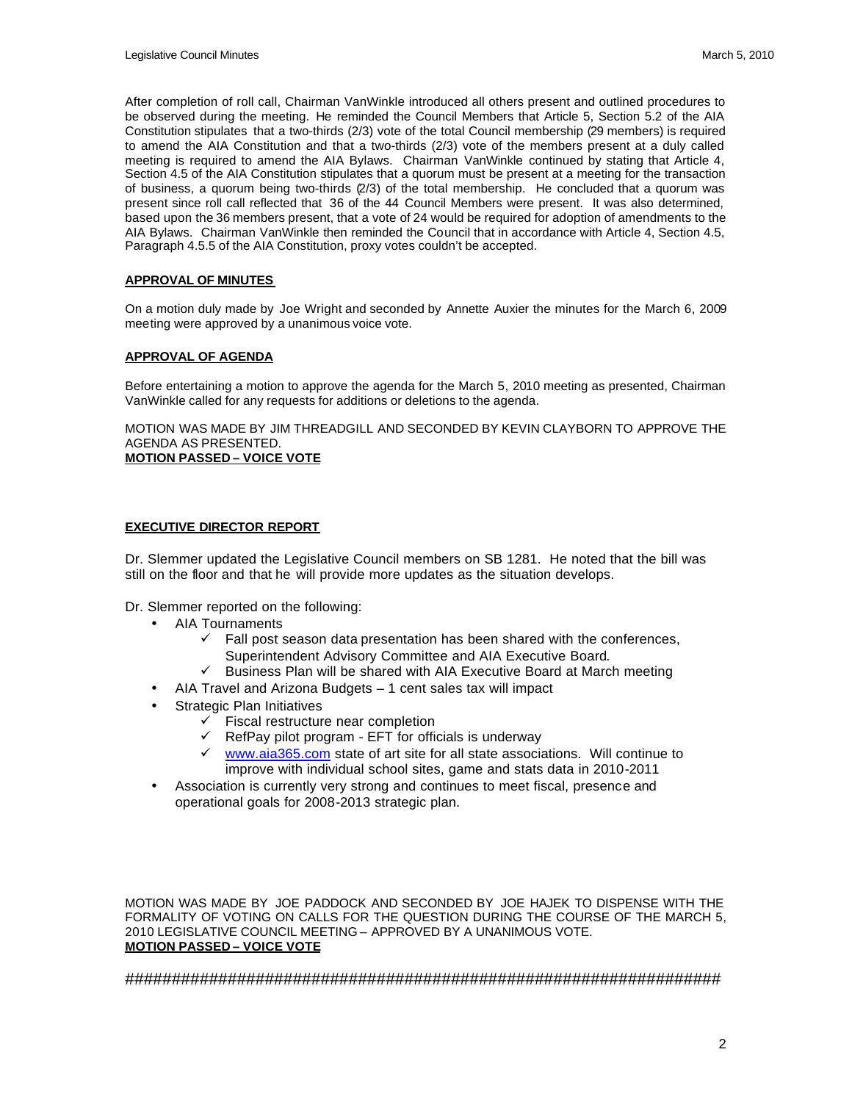After completion of roll call, Chairman VanWinkle introduced all others present and outlined procedures to be observed during the meeting. He reminded the Council Members that Article 5, Section 5.2 of the AIA Constitution stipulates that a two-thirds (2/3) vote of the total Council membership (29 members) is required to amend the AIA Constitution and that a two-thirds (2/3) vote of the members present at a duly called meeting is required to amend the AIA Bylaws. Chairman VanWinkle continued by stating that Article 4, Section 4.5 of the AIA Constitution stipulates that a quorum must be present at a meeting for the transaction of business, a quorum being two-thirds (2/3) of the total membership. He concluded that a quorum was present since roll call reflected that 36 of the 44 Council Members were present. It was also determined, based upon the 36 members present, that a vote of 24 would be required for adoption of amendments to the AIA Bylaws. Chairman VanWinkle then reminded the Council that in accordance with Article 4, Section 4.5, Paragraph 4.5.5 of the AIA Constitution, proxy votes couldn't be accepted.

## **APPROVAL OF MINUTES**

On a motion duly made by Joe Wright and seconded by Annette Auxier the minutes for the March 6, 2009 meeting were approved by a unanimous voice vote.

# **APPROVAL OF AGENDA**

Before entertaining a motion to approve the agenda for the March 5, 2010 meeting as presented, Chairman VanWinkle called for any requests for additions or deletions to the agenda.

MOTION WAS MADE BY JIM THREADGILL AND SECONDED BY KEVIN CLAYBORN TO APPROVE THE AGENDA AS PRESENTED. **MOTION PASSED – VOICE VOTE**

# **EXECUTIVE DIRECTOR REPORT**

Dr. Slemmer updated the Legislative Council members on SB 1281. He noted that the bill was still on the floor and that he will provide more updates as the situation develops.

Dr. Slemmer reported on the following:

- AIA Tournaments
	- $\checkmark$  Fall post season data presentation has been shared with the conferences, Superintendent Advisory Committee and AIA Executive Board.
	- $\checkmark$  Business Plan will be shared with AIA Executive Board at March meeting
	- AIA Travel and Arizona Budgets 1 cent sales tax will impact
- Strategic Plan Initiatives
	- **Fiscal restructure near completion**
	- $\checkmark$  RefPay pilot program EFT for officials is underway
	- www.aia365.com state of art site for all state associations. Will continue to improve with individual school sites, game and stats data in 2010-2011
- Association is currently very strong and continues to meet fiscal, presence and operational goals for 2008-2013 strategic plan.

MOTION WAS MADE BY JOE PADDOCK AND SECONDED BY JOE HAJEK TO DISPENSE WITH THE FORMALITY OF VOTING ON CALLS FOR THE QUESTION DURING THE COURSE OF THE MARCH 5, 2010 LEGISLATIVE COUNCIL MEETING – APPROVED BY A UNANIMOUS VOTE. **MOTION PASSED – VOICE VOTE**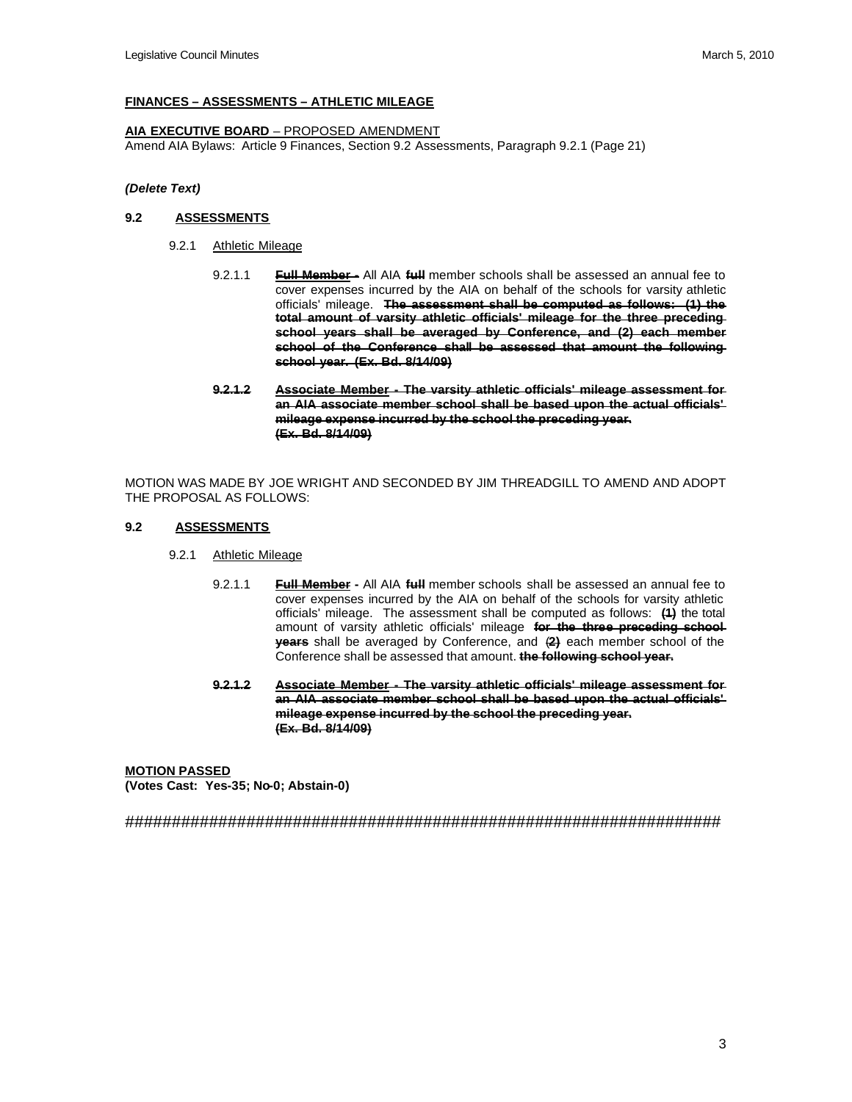# **FINANCES – ASSESSMENTS – ATHLETIC MILEAGE**

# **AIA EXECUTIVE BOARD** – PROPOSED AMENDMENT

Amend AIA Bylaws: Article 9 Finances, Section 9.2 Assessments, Paragraph 9.2.1 (Page 21)

## *(Delete Text)*

## **9.2 ASSESSMENTS**

- 9.2.1 Athletic Mileage
	- 9.2.1.1 **Full Member -** All AIA **full** member schools shall be assessed an annual fee to cover expenses incurred by the AIA on behalf of the schools for varsity athletic officials' mileage. **The assessment shall be computed as follows: (1) the total amount of varsity athletic officials' mileage for the three preceding school years shall be averaged by Conference, and (2) each member school of the Conference shall be assessed that amount the following school year. (Ex. Bd. 8/14/09)**
	- **9.2.1.2 Associate Member - The varsity athletic officials' mileage assessment for an AIA associate member school shall be based upon the actual officials' mileage expense incurred by the school the preceding year. (Ex. Bd. 8/14/09)**

MOTION WAS MADE BY JOE WRIGHT AND SECONDED BY JIM THREADGILL TO AMEND AND ADOPT THE PROPOSAL AS FOLLOWS:

## **9.2 ASSESSMENTS**

- 9.2.1 Athletic Mileage
	- 9.2.1.1 **Full Member -** All AIA **full** member schools shall be assessed an annual fee to cover expenses incurred by the AIA on behalf of the schools for varsity athletic officials' mileage. The assessment shall be computed as follows: **(1)** the total amount of varsity athletic officials' mileage **for the three preceding school years** shall be averaged by Conference, and (**2)** each member school of the Conference shall be assessed that amount. **the following school year.**
	- **9.2.1.2 Associate Member - The varsity athletic officials' mileage assessment for an AIA associate member school shall be based upon the actual officials' mileage expense incurred by the school the preceding year. (Ex. Bd. 8/14/09)**

**MOTION PASSED (Votes Cast: Yes-35; No-0; Abstain-0)**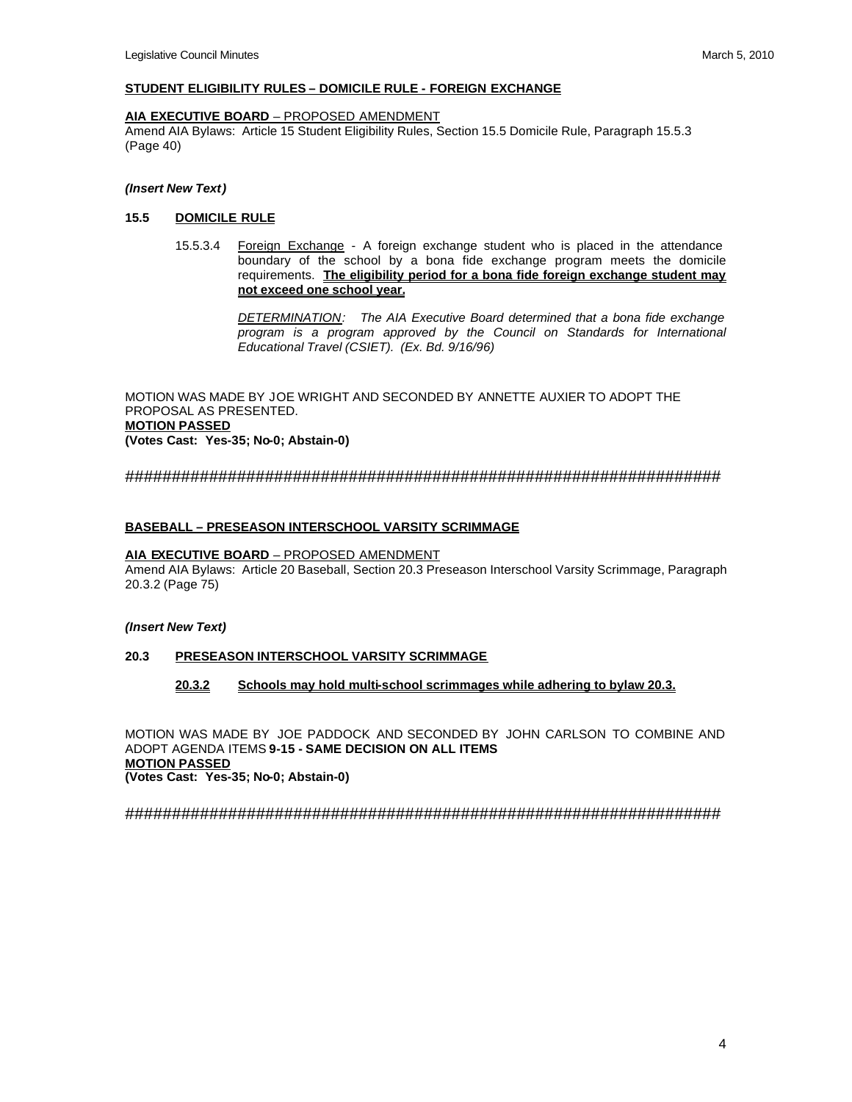## **STUDENT ELIGIBILITY RULES – DOMICILE RULE - FOREIGN EXCHANGE**

#### **AIA EXECUTIVE BOARD** – PROPOSED AMENDMENT

Amend AIA Bylaws: Article 15 Student Eligibility Rules, Section 15.5 Domicile Rule, Paragraph 15.5.3 (Page 40)

#### *(Insert New Text)*

## **15.5 DOMICILE RULE**

15.5.3.4 Foreign Exchange - A foreign exchange student who is placed in the attendance boundary of the school by a bona fide exchange program meets the domicile requirements. **The eligibility period for a bona fide foreign exchange student may not exceed one school year.** 

> *DETERMINATION: The AIA Executive Board determined that a bona fide exchange program is a program approved by the Council on Standards for International Educational Travel (CSIET). (Ex. Bd. 9/16/96)*

MOTION WAS MADE BY JOE WRIGHT AND SECONDED BY ANNETTE AUXIER TO ADOPT THE PROPOSAL AS PRESENTED. **MOTION PASSED (Votes Cast: Yes-35; No-0; Abstain-0)**

################################################################

## **BASEBALL – PRESEASON INTERSCHOOL VARSITY SCRIMMAGE**

#### **AIA EXECUTIVE BOARD** – PROPOSED AMENDMENT

Amend AIA Bylaws: Article 20 Baseball, Section 20.3 Preseason Interschool Varsity Scrimmage, Paragraph 20.3.2 (Page 75)

#### *(Insert New Text)*

#### **20.3 PRESEASON INTERSCHOOL VARSITY SCRIMMAGE**

## **20.3.2 Schools may hold multi-school scrimmages while adhering to bylaw 20.3.**

MOTION WAS MADE BY JOE PADDOCK AND SECONDED BY JOHN CARLSON TO COMBINE AND ADOPT AGENDA ITEMS **9-15 - SAME DECISION ON ALL ITEMS MOTION PASSED (Votes Cast: Yes-35; No-0; Abstain-0)**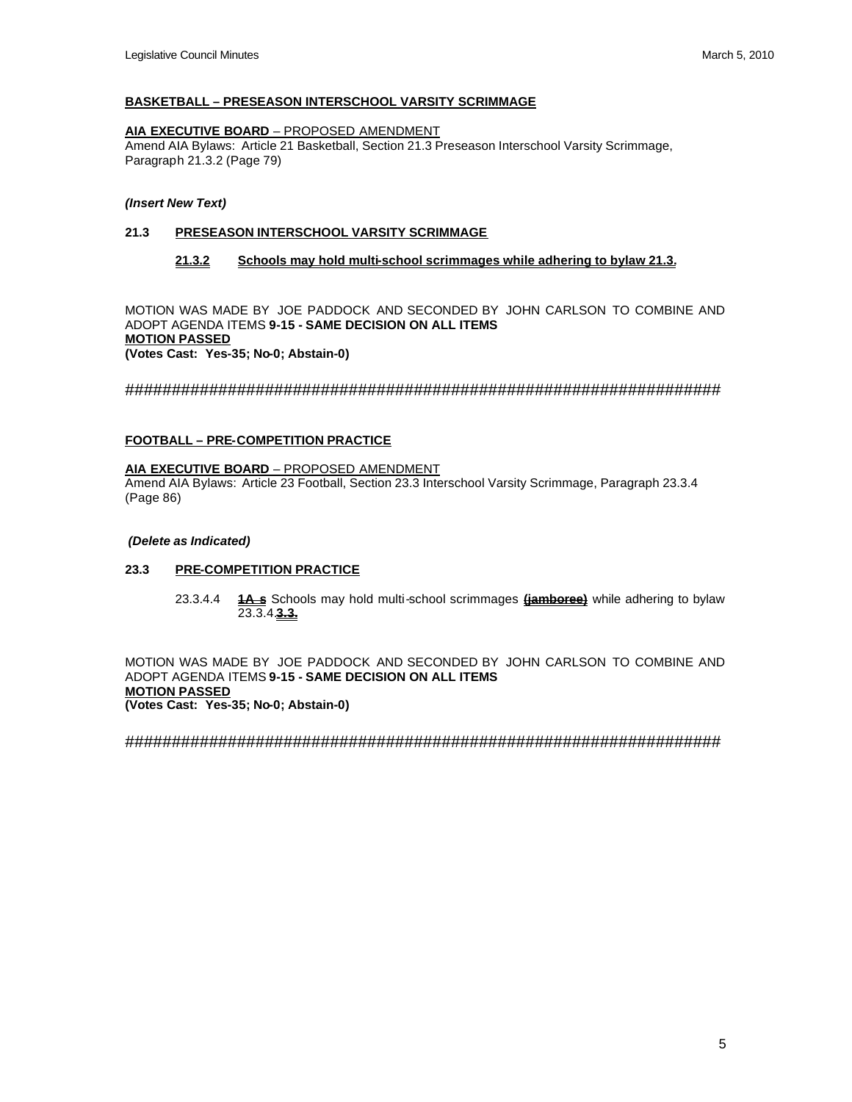## **BASKETBALL – PRESEASON INTERSCHOOL VARSITY SCRIMMAGE**

#### **AIA EXECUTIVE BOARD** – PROPOSED AMENDMENT

Amend AIA Bylaws: Article 21 Basketball, Section 21.3 Preseason Interschool Varsity Scrimmage, Paragraph 21.3.2 (Page 79)

### *(Insert New Text)*

# **21.3 PRESEASON INTERSCHOOL VARSITY SCRIMMAGE**

### **21.3.2 Schools may hold multi-school scrimmages while adhering to bylaw 21.3.**

MOTION WAS MADE BY JOE PADDOCK AND SECONDED BY JOHN CARLSON TO COMBINE AND ADOPT AGENDA ITEMS **9-15 - SAME DECISION ON ALL ITEMS MOTION PASSED (Votes Cast: Yes-35; No-0; Abstain-0)**

################################################################

#### **FOOTBALL – PRE-COMPETITION PRACTICE**

## **AIA EXECUTIVE BOARD** – PROPOSED AMENDMENT

Amend AIA Bylaws: Article 23 Football, Section 23.3 Interschool Varsity Scrimmage, Paragraph 23.3.4 (Page 86)

#### *(Delete as Indicated)*

#### **23.3 PRE-COMPETITION PRACTICE**

23.3.4.4 **1A s** Schools may hold multi-school scrimmages **(jamboree)** while adhering to bylaw 23.3.4.**3.3.** 

MOTION WAS MADE BY JOE PADDOCK AND SECONDED BY JOHN CARLSON TO COMBINE AND ADOPT AGENDA ITEMS **9-15 - SAME DECISION ON ALL ITEMS MOTION PASSED (Votes Cast: Yes-35; No-0; Abstain-0)**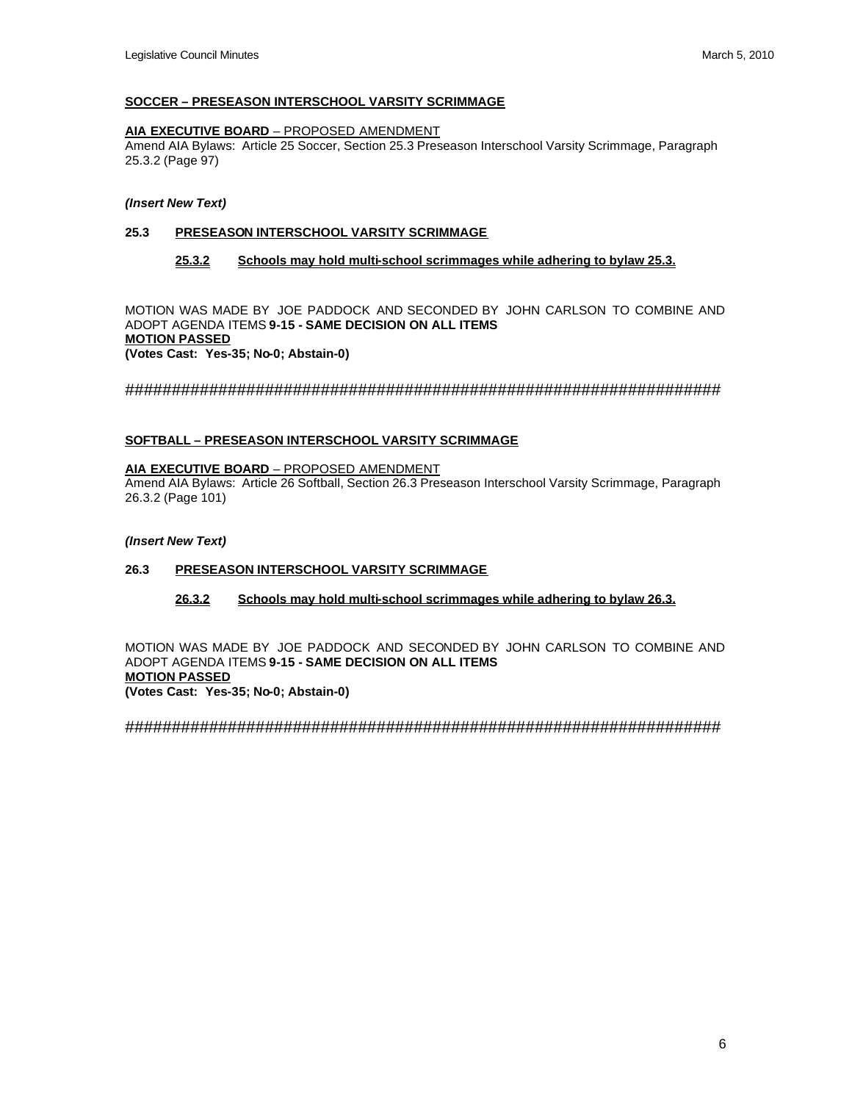## **SOCCER – PRESEASON INTERSCHOOL VARSITY SCRIMMAGE**

#### **AIA EXECUTIVE BOARD** – PROPOSED AMENDMENT

Amend AIA Bylaws: Article 25 Soccer, Section 25.3 Preseason Interschool Varsity Scrimmage, Paragraph 25.3.2 (Page 97)

#### *(Insert New Text)*

# **25.3 PRESEASON INTERSCHOOL VARSITY SCRIMMAGE**

### **25.3.2 Schools may hold multi-school scrimmages while adhering to bylaw 25.3.**

MOTION WAS MADE BY JOE PADDOCK AND SECONDED BY JOHN CARLSON TO COMBINE AND ADOPT AGENDA ITEMS **9-15 - SAME DECISION ON ALL ITEMS MOTION PASSED (Votes Cast: Yes-35; No-0; Abstain-0)**

################################################################

## **SOFTBALL – PRESEASON INTERSCHOOL VARSITY SCRIMMAGE**

## **AIA EXECUTIVE BOARD** – PROPOSED AMENDMENT

Amend AIA Bylaws: Article 26 Softball, Section 26.3 Preseason Interschool Varsity Scrimmage, Paragraph 26.3.2 (Page 101)

#### *(Insert New Text)*

## **26.3 PRESEASON INTERSCHOOL VARSITY SCRIMMAGE**

**26.3.2 Schools may hold multi-school scrimmages while adhering to bylaw 26.3.** 

MOTION WAS MADE BY JOE PADDOCK AND SECONDED BY JOHN CARLSON TO COMBINE AND ADOPT AGENDA ITEMS **9-15 - SAME DECISION ON ALL ITEMS MOTION PASSED (Votes Cast: Yes-35; No-0; Abstain-0)**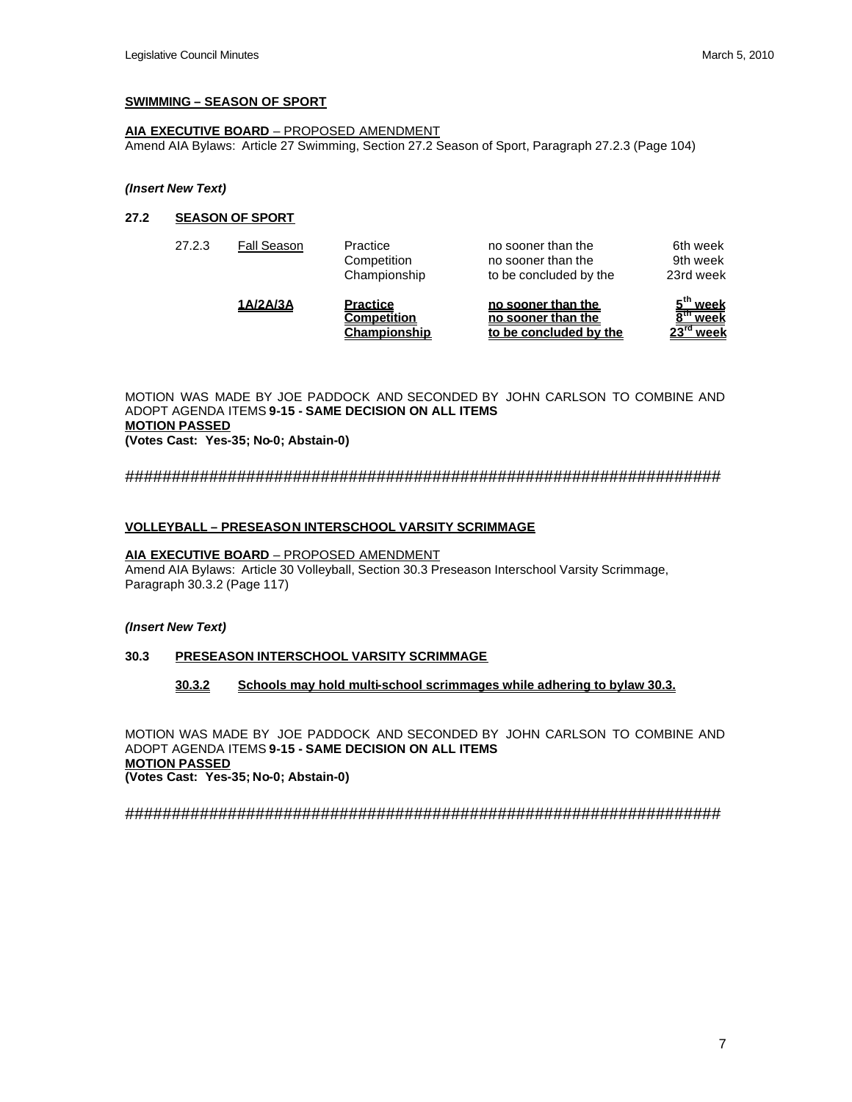## **SWIMMING – SEASON OF SPORT**

# **AIA EXECUTIVE BOARD** – PROPOSED AMENDMENT

Amend AIA Bylaws: Article 27 Swimming, Section 27.2 Season of Sport, Paragraph 27.2.3 (Page 104)

#### *(Insert New Text)*

## **27.2 SEASON OF SPORT**

|        | 1A/2A/3A    | <b>Practice</b><br><b>Competition</b><br>Championship | no sooner than the<br>no sooner than the<br>to be concluded by the | week<br>week<br>$23^{\text{rd}}$<br>week |
|--------|-------------|-------------------------------------------------------|--------------------------------------------------------------------|------------------------------------------|
| 27.2.3 | Fall Season | Practice<br>Competition<br>Championship               | no sooner than the<br>no sooner than the<br>to be concluded by the | 6th week<br>9th week<br>23rd week        |

MOTION WAS MADE BY JOE PADDOCK AND SECONDED BY JOHN CARLSON TO COMBINE AND ADOPT AGENDA ITEMS **9-15 - SAME DECISION ON ALL ITEMS MOTION PASSED (Votes Cast: Yes-35; No-0; Abstain-0)**

################################################################

## **VOLLEYBALL – PRESEASON INTERSCHOOL VARSITY SCRIMMAGE**

## **AIA EXECUTIVE BOARD** – PROPOSED AMENDMENT

Amend AIA Bylaws: Article 30 Volleyball, Section 30.3 Preseason Interschool Varsity Scrimmage, Paragraph 30.3.2 (Page 117)

## *(Insert New Text)*

## **30.3 PRESEASON INTERSCHOOL VARSITY SCRIMMAGE**

## **30.3.2 Schools may hold multi-school scrimmages while adhering to bylaw 30.3.**

MOTION WAS MADE BY JOE PADDOCK AND SECONDED BY JOHN CARLSON TO COMBINE AND ADOPT AGENDA ITEMS **9-15 - SAME DECISION ON ALL ITEMS MOTION PASSED (Votes Cast: Yes-35; No-0; Abstain-0)**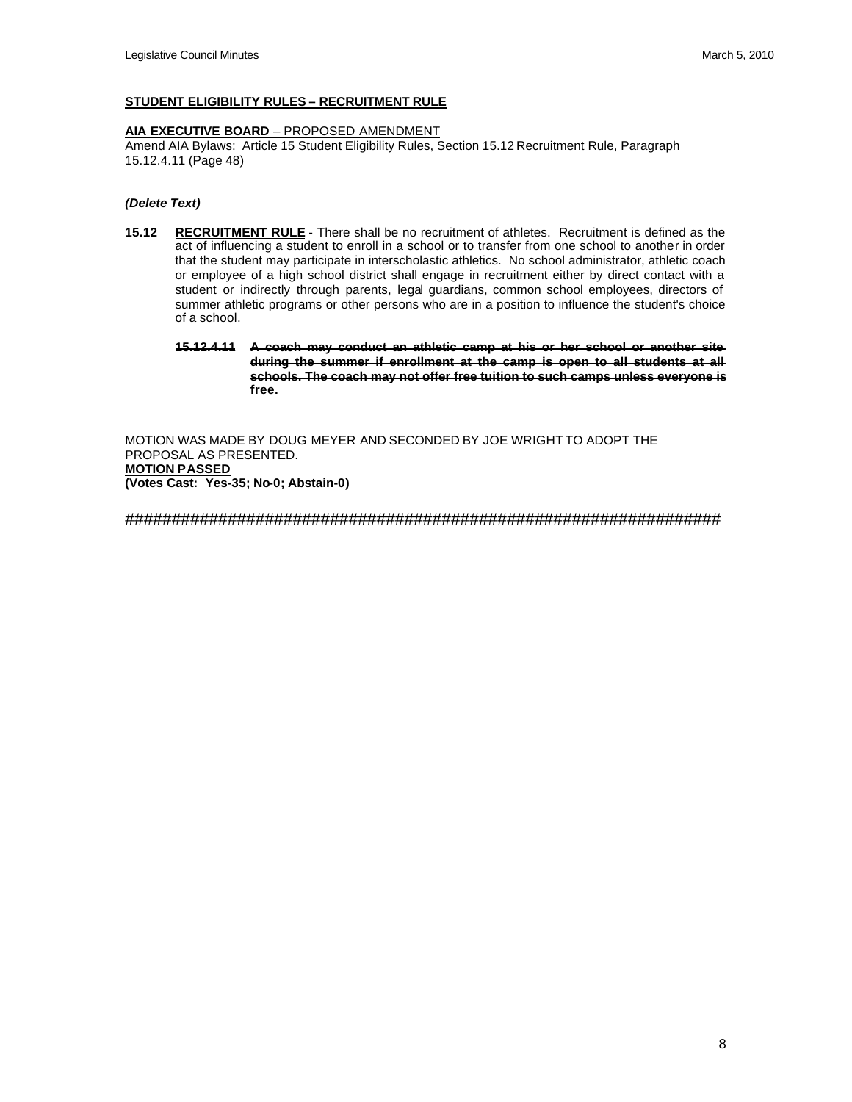### **STUDENT ELIGIBILITY RULES – RECRUITMENT RULE**

#### **AIA EXECUTIVE BOARD** – PROPOSED AMENDMENT

Amend AIA Bylaws: Article 15 Student Eligibility Rules, Section 15.12 Recruitment Rule, Paragraph 15.12.4.11 (Page 48)

#### *(Delete Text)*

- **15.12 RECRUITMENT RULE** There shall be no recruitment of athletes. Recruitment is defined as the act of influencing a student to enroll in a school or to transfer from one school to another in order that the student may participate in interscholastic athletics. No school administrator, athletic coach or employee of a high school district shall engage in recruitment either by direct contact with a student or indirectly through parents, legal guardians, common school employees, directors of summer athletic programs or other persons who are in a position to influence the student's choice of a school.
	- **15.12.4.11 A coach may conduct an athletic camp at his or her school or another site during the summer if enrollment at the camp is open to all students at all schools. The coach may not offer free tuition to such camps unless everyone is free.**

MOTION WAS MADE BY DOUG MEYER AND SECONDED BY JOE WRIGHT TO ADOPT THE PROPOSAL AS PRESENTED. **MOTION PASSED (Votes Cast: Yes-35; No-0; Abstain-0)**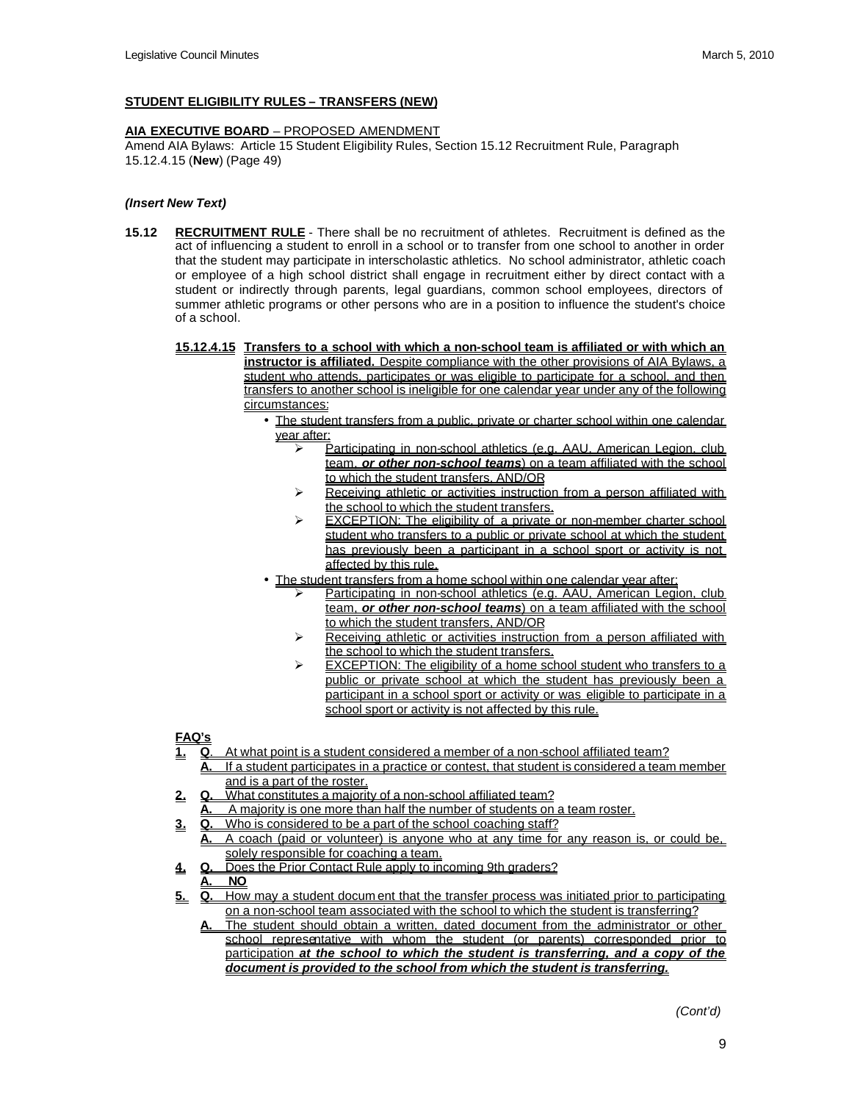# **STUDENT ELIGIBILITY RULES – TRANSFERS (NEW)**

## **AIA EXECUTIVE BOARD** – PROPOSED AMENDMENT

Amend AIA Bylaws: Article 15 Student Eligibility Rules, Section 15.12 Recruitment Rule, Paragraph 15.12.4.15 (**New**) (Page 49)

# *(Insert New Text)*

- **15.12 RECRUITMENT RULE** There shall be no recruitment of athletes. Recruitment is defined as the act of influencing a student to enroll in a school or to transfer from one school to another in order that the student may participate in interscholastic athletics. No school administrator, athletic coach or employee of a high school district shall engage in recruitment either by direct contact with a student or indirectly through parents, legal guardians, common school employees, directors of summer athletic programs or other persons who are in a position to influence the student's choice of a school.
	- **15.12.4.15 Transfers to a school with which a non-school team is affiliated or with which an instructor is affiliated.** Despite compliance with the other provisions of AIA Bylaws, a student who attends, participates or was eligible to participate for a school, and then transfers to another school is ineligible for one calendar year under any of the following circumstances:
		- The student transfers from a public, private or charter school within one calendar year after:
			- Participating in non-school athletics (e.g. AAU, American Legion, club team, *or other non-school teams*) on a team affiliated with the school to which the student transfers, AND/OR
			- $\triangleright$  Receiving athletic or activities instruction from a person affiliated with the school to which the student transfers.
			- EXCEPTION: The eligibility of a private or non-member charter school student who transfers to a public or private school at which the student has previously been a participant in a school sport or activity is not affected by this rule.
		- The student transfers from a home school within one calendar year after:
			- Participating in non-school athletics (e.g. AAU, American Legion, club team, *or other non-school teams*) on a team affiliated with the school to which the student transfers, AND/OR
			- Receiving athletic or activities instruction from a person affiliated with the school to which the student transfers.
			- EXCEPTION: The eligibility of a home school student who transfers to a public or private school at which the student has previously been a participant in a school sport or activity or was eligible to participate in a school sport or activity is not affected by this rule.

# **FAQ's**

- **1. Q**. At what point is a student considered a member of a non-school affiliated team?
	- **A.** If a student participates in a practice or contest, that student is considered a team member and is a part of the roster.
- **2. Q.** What constitutes a majority of a non-school affiliated team?
	- **A.** A majority is one more than half the number of students on a team roster.
- **3. Q.** Who is considered to be a part of the school coaching staff? **A.** A coach (paid or volunteer) is anyone who at any time for any reason is, or could be, solely responsible for coaching a team.
- **4. Q.** Does the Prior Contact Rule apply to incoming 9th graders?
- **A. NO**
- **5. Q.** How may a student docum ent that the transfer process was initiated prior to participating on a non-school team associated with the school to which the student is transferring?
	- **A.** The student should obtain a written, dated document from the administrator or other school representative with whom the student (or parents) corresponded prior to participation *at the school to which the student is transferring, and a copy of the document is provided to the school from which the student is transferring.*

 *(Cont'd)*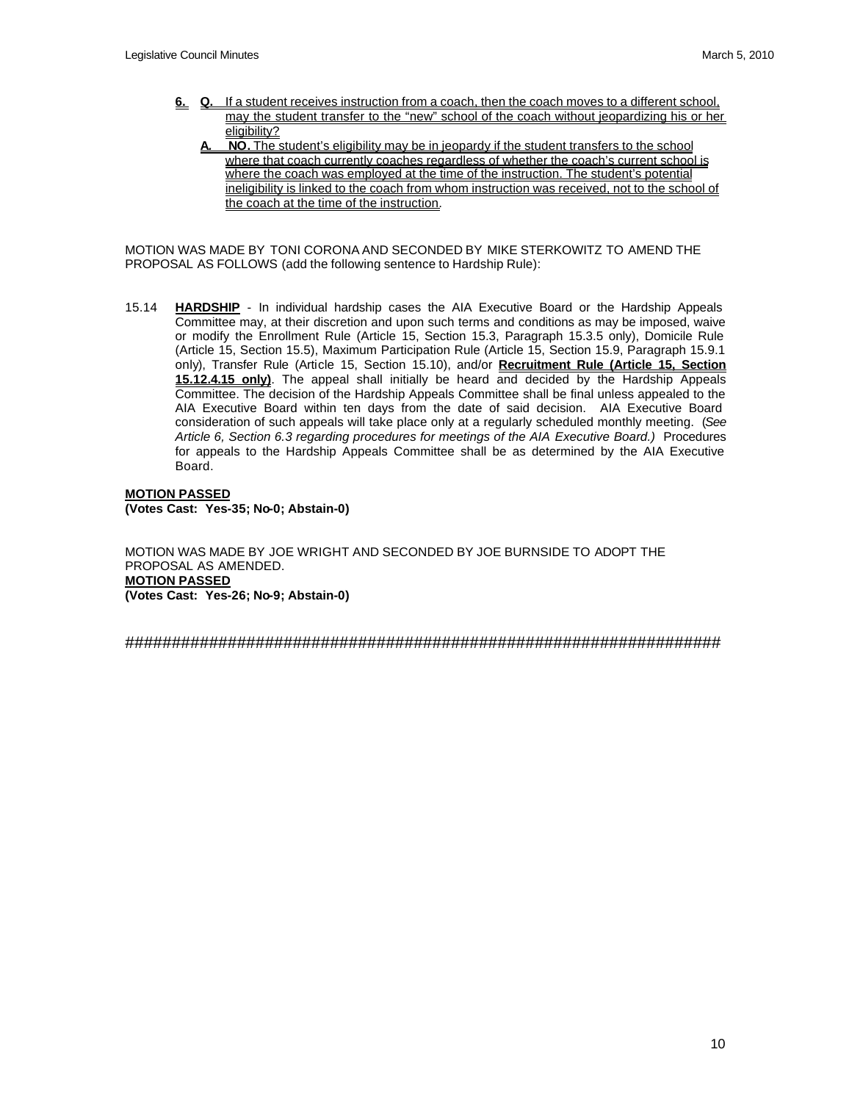- **6.** Q. If a student receives instruction from a coach, then the coach moves to a different school. may the student transfer to the "new" school of the coach without jeopardizing his or her eligibility?
	- **A***.* **NO.** The student's eligibility may be in jeopardy if the student transfers to the school where that coach currently coaches regardless of whether the coach's current school is where the coach was employed at the time of the instruction. The student's potential ineligibility is linked to the coach from whom instruction was received, not to the school of the coach at the time of the instruction.

MOTION WAS MADE BY TONI CORONA AND SECONDED BY MIKE STERKOWITZ TO AMEND THE PROPOSAL AS FOLLOWS (add the following sentence to Hardship Rule):

15.14 **HARDSHIP** - In individual hardship cases the AIA Executive Board or the Hardship Appeals Committee may, at their discretion and upon such terms and conditions as may be imposed, waive or modify the Enrollment Rule (Article 15, Section 15.3, Paragraph 15.3.5 only), Domicile Rule (Article 15, Section 15.5), Maximum Participation Rule (Article 15, Section 15.9, Paragraph 15.9.1 only), Transfer Rule (Article 15, Section 15.10), and/or **Recruitment Rule (Article 15, Section 15.12.4.15 only)**. The appeal shall initially be heard and decided by the Hardship Appeals Committee. The decision of the Hardship Appeals Committee shall be final unless appealed to the AIA Executive Board within ten days from the date of said decision. AIA Executive Board consideration of such appeals will take place only at a regularly scheduled monthly meeting. (*See Article 6, Section 6.3 regarding procedures for meetings of the AIA Executive Board.)* Procedures for appeals to the Hardship Appeals Committee shall be as determined by the AIA Executive Board.

**MOTION PASSED (Votes Cast: Yes-35; No-0; Abstain-0)**

MOTION WAS MADE BY JOE WRIGHT AND SECONDED BY JOE BURNSIDE TO ADOPT THE PROPOSAL AS AMENDED. **MOTION PASSED (Votes Cast: Yes-26; No-9; Abstain-0)**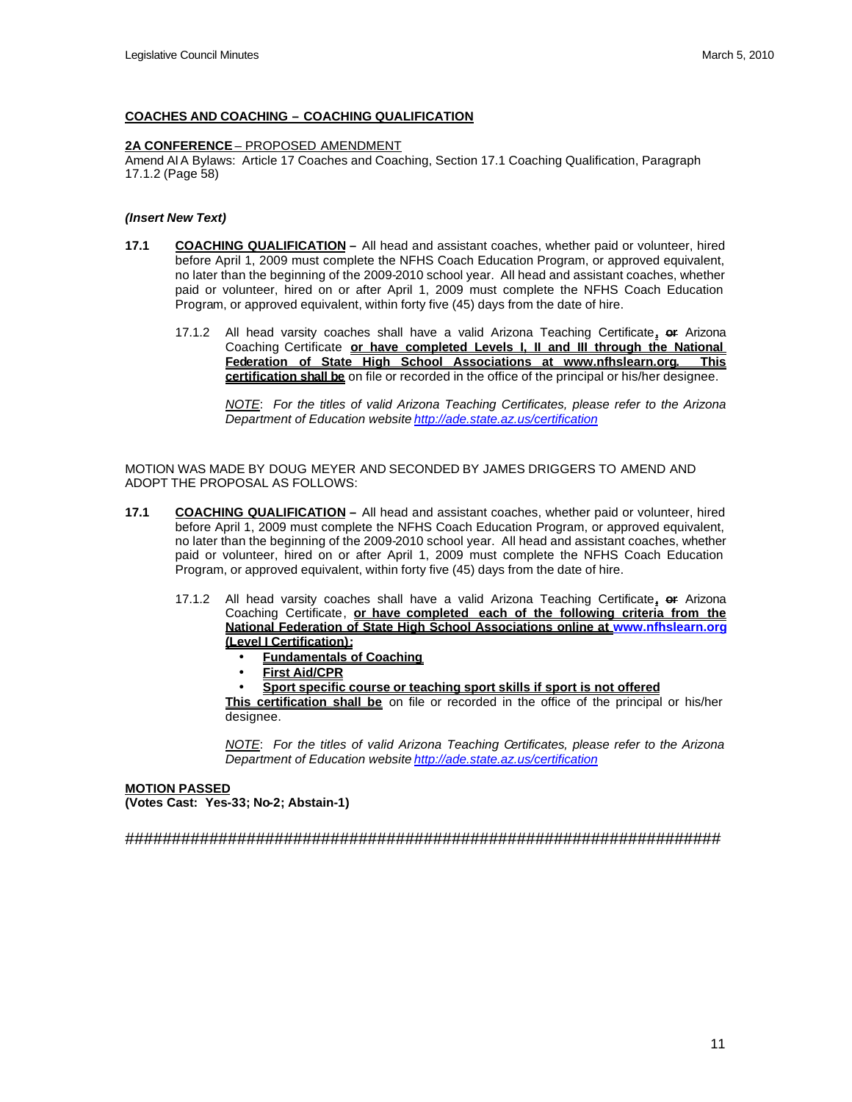#### **COACHES AND COACHING – COACHING QUALIFICATION**

### **2A CONFERENCE** – PROPOSED AMENDMENT

Amend AIA Bylaws: Article 17 Coaches and Coaching, Section 17.1 Coaching Qualification, Paragraph 17.1.2 (Page 58)

#### *(Insert New Text)*

- **17.1 COACHING QUALIFICATION –** All head and assistant coaches, whether paid or volunteer, hired before April 1, 2009 must complete the NFHS Coach Education Program, or approved equivalent, no later than the beginning of the 2009-2010 school year. All head and assistant coaches, whether paid or volunteer, hired on or after April 1, 2009 must complete the NFHS Coach Education Program, or approved equivalent, within forty five (45) days from the date of hire.
	- 17.1.2 All head varsity coaches shall have a valid Arizona Teaching Certificate**, or** Arizona Coaching Certificate **or have completed Levels I, II and III through the National Federation of State High School Associations at www.nfhslearn.org. This certification shall be** on file or recorded in the office of the principal or his/her designee.

*NOTE*: *For the titles of valid Arizona Teaching Certificates, please refer to the Arizona Department of Education website http://ade.state.az.us/certification*

MOTION WAS MADE BY DOUG MEYER AND SECONDED BY JAMES DRIGGERS TO AMEND AND ADOPT THE PROPOSAL AS FOLLOWS:

- **17.1 COACHING QUALIFICATION** All head and assistant coaches, whether paid or volunteer, hired before April 1, 2009 must complete the NFHS Coach Education Program, or approved equivalent, no later than the beginning of the 2009-2010 school year. All head and assistant coaches, whether paid or volunteer, hired on or after April 1, 2009 must complete the NFHS Coach Education Program, or approved equivalent, within forty five (45) days from the date of hire.
	- 17.1.2 All head varsity coaches shall have a valid Arizona Teaching Certificate**, or** Arizona Coaching Certificate, **or have completed each of the following criteria from the National Federation of State High School Associations online at www.nfhslearn.org (Level I Certification):**
		- **Fundamentals of Coaching**
		- **First Aid/CPR**
		- **Sport specific course or teaching sport skills if sport is not offered**

**This certification shall be** on file or recorded in the office of the principal or his/her designee.

*NOTE*: *For the titles of valid Arizona Teaching Certificates, please refer to the Arizona Department of Education website http://ade.state.az.us/certification*

# **MOTION PASSED (Votes Cast: Yes-33; No-2; Abstain-1)**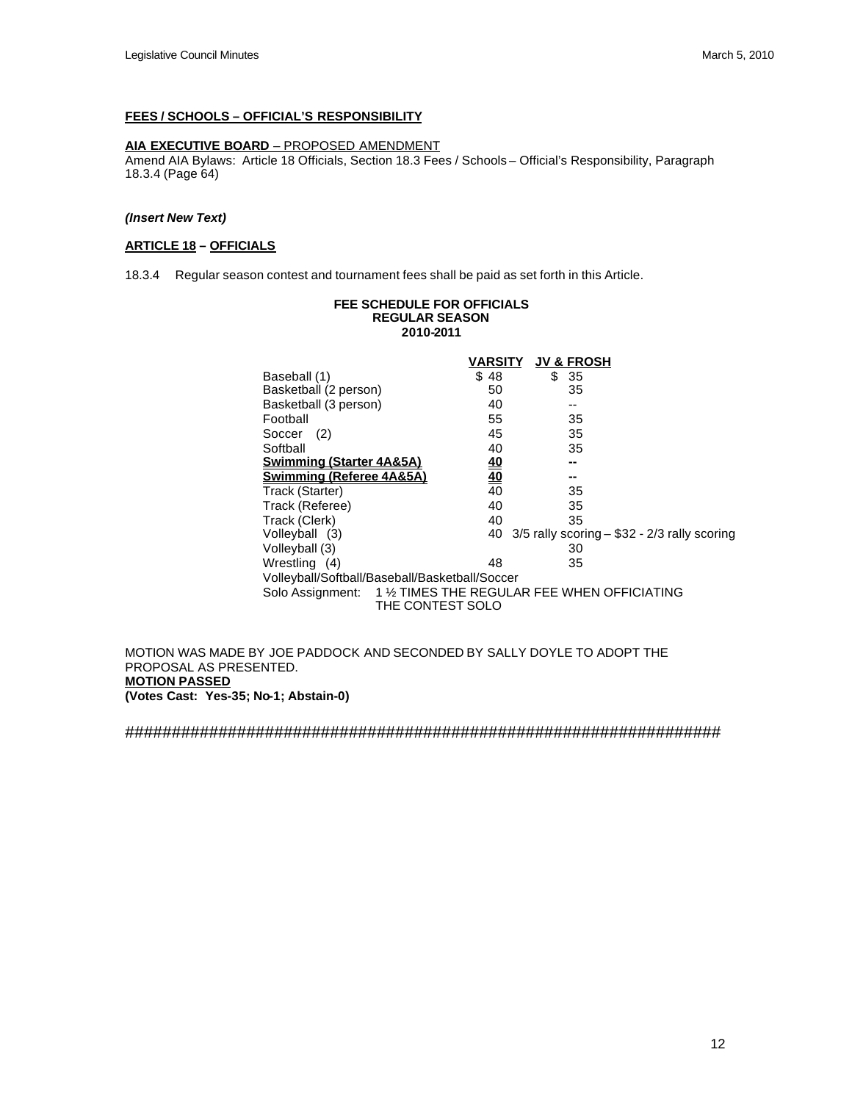# **FEES / SCHOOLS – OFFICIAL'S RESPONSIBILITY**

# **AIA EXECUTIVE BOARD** – PROPOSED AMENDMENT

Amend AIA Bylaws: Article 18 Officials, Section 18.3 Fees / Schools – Official's Responsibility, Paragraph 18.3.4 (Page 64)

#### *(Insert New Text)*

## **ARTICLE 18 – OFFICIALS**

18.3.4 Regular season contest and tournament fees shall be paid as set forth in this Article.

#### **FEE SCHEDULE FOR OFFICIALS REGULAR SEASON 2010-2011**

|                                     | VARSITY                                                                           | <b>JV &amp; FROSH</b> |                                                     |
|-------------------------------------|-----------------------------------------------------------------------------------|-----------------------|-----------------------------------------------------|
| Baseball (1)                        | \$48                                                                              | \$35                  |                                                     |
| Basketball (2 person)               | 50                                                                                | 35                    |                                                     |
| Basketball (3 person)               | 40                                                                                | --                    |                                                     |
| Football                            | 55                                                                                | 35                    |                                                     |
| (2)<br>Soccer                       | 45                                                                                | 35                    |                                                     |
| Softball                            | 40                                                                                | 35                    |                                                     |
| <b>Swimming (Starter 4A&amp;5A)</b> | <u>40</u>                                                                         | --                    |                                                     |
| Swimming (Referee 4A&5A)            | $\underline{40}$                                                                  | --                    |                                                     |
| Track (Starter)                     | $\overline{40}$                                                                   | 35                    |                                                     |
| Track (Referee)                     | 40                                                                                | 35                    |                                                     |
| Track (Clerk)                       | 40                                                                                | 35                    |                                                     |
| Volleyball (3)                      |                                                                                   |                       | 40 $3/5$ rally scoring $-$ \$32 - 2/3 rally scoring |
| Volleyball (3)                      |                                                                                   | 30                    |                                                     |
| Wrestling (4)                       | 48                                                                                | 35                    |                                                     |
|                                     | Volleyball/Softball/Baseball/Basketball/Soccer                                    |                       |                                                     |
|                                     | Solo Assignment: 1 1/2 TIMES THE REGULAR FEE WHEN OFFICIATING<br>THE CONTEST SOLO |                       |                                                     |
|                                     |                                                                                   |                       |                                                     |

MOTION WAS MADE BY JOE PADDOCK AND SECONDED BY SALLY DOYLE TO ADOPT THE PROPOSAL AS PRESENTED. **MOTION PASSED (Votes Cast: Yes-35; No-1; Abstain-0)**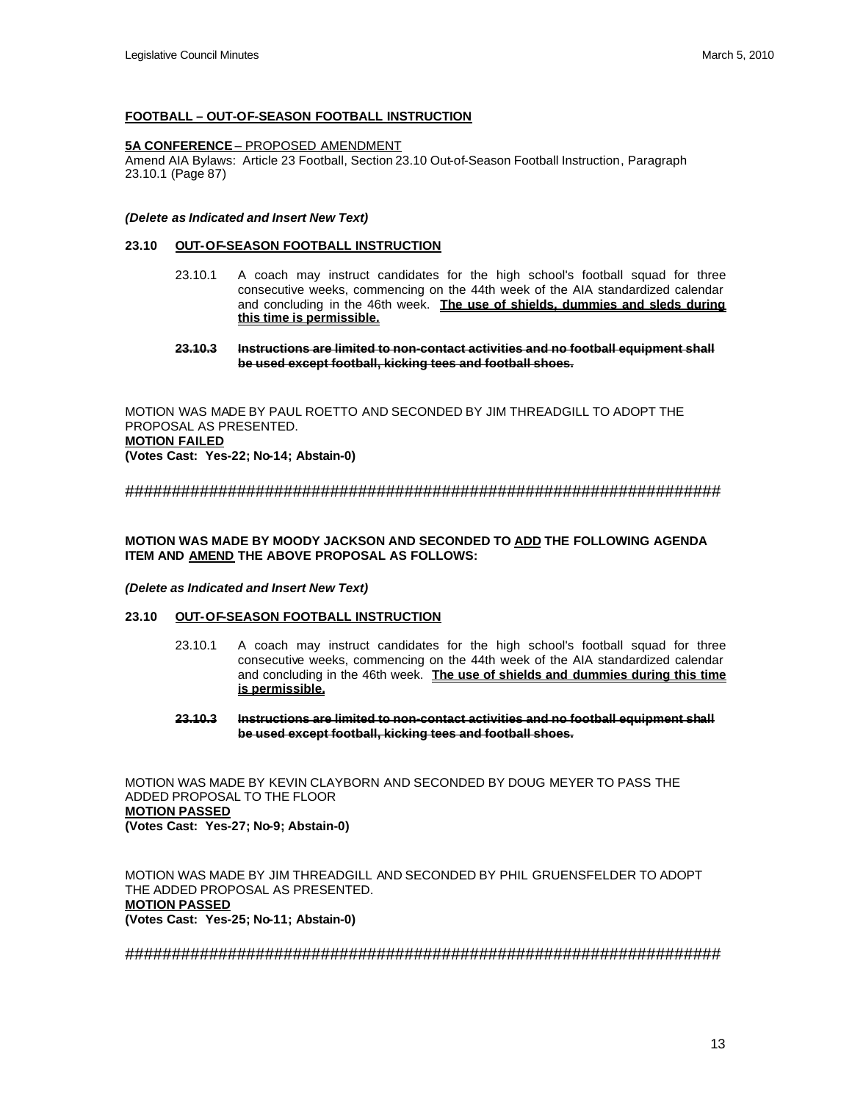#### **FOOTBALL – OUT-OF-SEASON FOOTBALL INSTRUCTION**

#### **5A CONFERENCE** – PROPOSED AMENDMENT

Amend AIA Bylaws: Article 23 Football, Section 23.10 Out-of-Season Football Instruction, Paragraph 23.10.1 (Page 87)

#### *(Delete as Indicated and Insert New Text)*

#### **23.10 OUT-OF-SEASON FOOTBALL INSTRUCTION**

- 23.10.1 A coach may instruct candidates for the high school's football squad for three consecutive weeks, commencing on the 44th week of the AIA standardized calendar and concluding in the 46th week. **The use of shields, dummies and sleds during this time is permissible.**
- **23.10.3 Instructions are limited to non-contact activities and no football equipment shall be used except football, kicking tees and football shoes.**

MOTION WAS MADE BY PAUL ROETTO AND SECONDED BY JIM THREADGILL TO ADOPT THE PROPOSAL AS PRESENTED. **MOTION FAILED (Votes Cast: Yes-22; No-14; Abstain-0)**

################################################################

### **MOTION WAS MADE BY MOODY JACKSON AND SECONDED TO ADD THE FOLLOWING AGENDA ITEM AND AMEND THE ABOVE PROPOSAL AS FOLLOWS:**

#### *(Delete as Indicated and Insert New Text)*

## **23.10 OUT-OF-SEASON FOOTBALL INSTRUCTION**

- 23.10.1 A coach may instruct candidates for the high school's football squad for three consecutive weeks, commencing on the 44th week of the AIA standardized calendar and concluding in the 46th week. **The use of shields and dummies during this time is permissible.**
- **23.10.3 Instructions are limited to non-contact activities and no football equipment shall be used except football, kicking tees and football shoes.**

MOTION WAS MADE BY KEVIN CLAYBORN AND SECONDED BY DOUG MEYER TO PASS THE ADDED PROPOSAL TO THE FLOOR **MOTION PASSED (Votes Cast: Yes-27; No-9; Abstain-0)**

MOTION WAS MADE BY JIM THREADGILL AND SECONDED BY PHIL GRUENSFELDER TO ADOPT THE ADDED PROPOSAL AS PRESENTED. **MOTION PASSED (Votes Cast: Yes-25; No-11; Abstain-0)**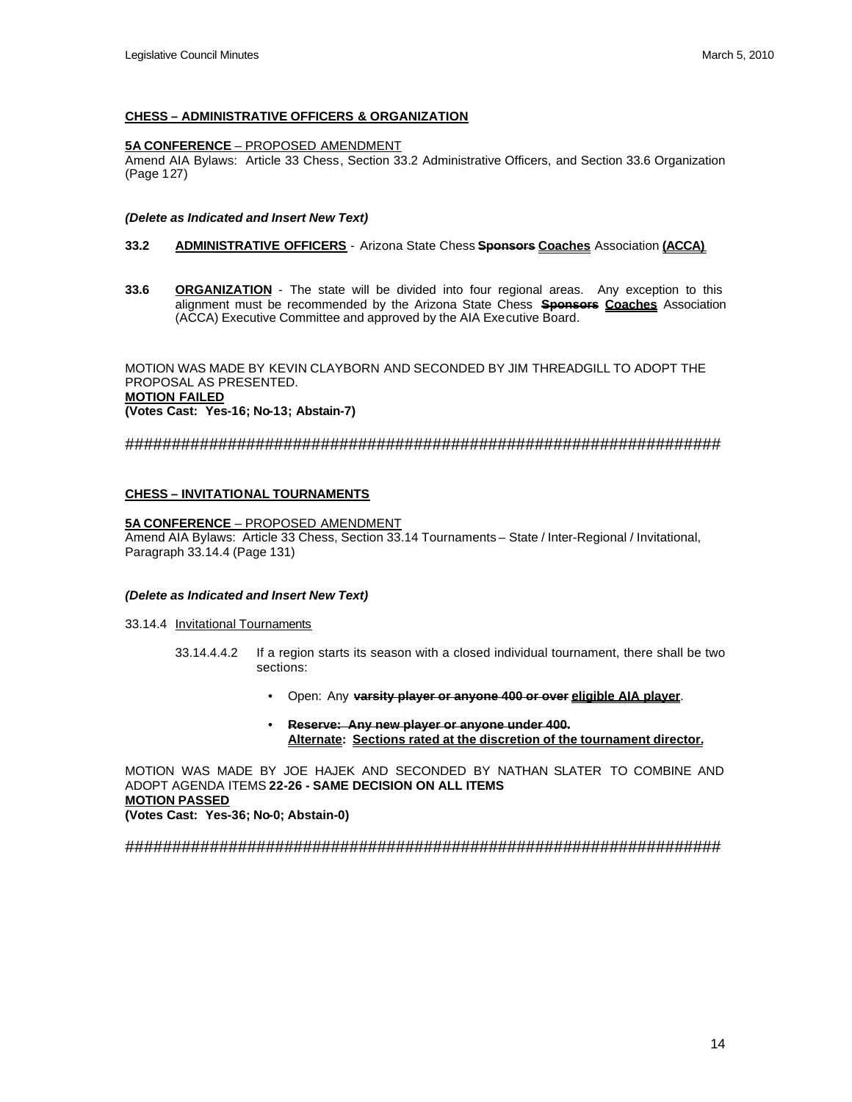### **CHESS – ADMINISTRATIVE OFFICERS & ORGANIZATION**

### **5A CONFERENCE** – PROPOSED AMENDMENT

Amend AIA Bylaws: Article 33 Chess, Section 33.2 Administrative Officers, and Section 33.6 Organization (Page 127)

#### *(Delete as Indicated and Insert New Text)*

#### **33.2 ADMINISTRATIVE OFFICERS** - Arizona State Chess **Sponsors Coaches** Association **(ACCA)**

**33.6 ORGANIZATION** - The state will be divided into four regional areas. Any exception to this alignment must be recommended by the Arizona State Chess **Sponsors Coaches** Association (ACCA) Executive Committee and approved by the AIA Executive Board.

MOTION WAS MADE BY KEVIN CLAYBORN AND SECONDED BY JIM THREADGILL TO ADOPT THE PROPOSAL AS PRESENTED. **MOTION FAILED (Votes Cast: Yes-16; No-13; Abstain-7)**

## ################################################################

## **CHESS – INVITATIONAL TOURNAMENTS**

### **5A CONFERENCE** – PROPOSED AMENDMENT

Amend AIA Bylaws: Article 33 Chess, Section 33.14 Tournaments – State / Inter-Regional / Invitational, Paragraph 33.14.4 (Page 131)

#### *(Delete as Indicated and Insert New Text)*

33.14.4 Invitational Tournaments

- 33.14.4.4.2 If a region starts its season with a closed individual tournament, there shall be two sections:
	- Open: Any **varsity player or anyone 400 or over eligible AIA player**.
	- **Reserve: Any new player or anyone under 400. Alternate: Sections rated at the discretion of the tournament director.**

MOTION WAS MADE BY JOE HAJEK AND SECONDED BY NATHAN SLATER TO COMBINE AND ADOPT AGENDA ITEMS **22-26 - SAME DECISION ON ALL ITEMS MOTION PASSED (Votes Cast: Yes-36; No-0; Abstain-0)**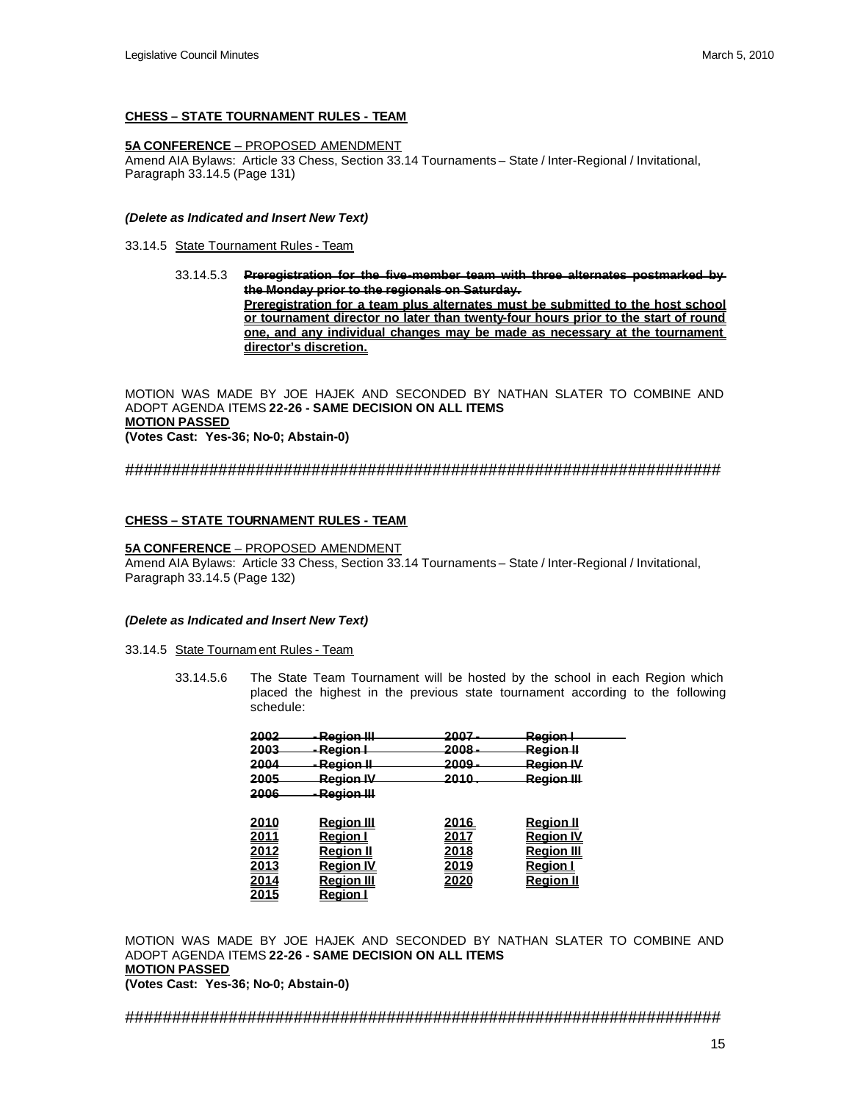### **CHESS – STATE TOURNAMENT RULES - TEAM**

## **5A CONFERENCE** – PROPOSED AMENDMENT

Amend AIA Bylaws: Article 33 Chess, Section 33.14 Tournaments – State / Inter-Regional / Invitational, Paragraph 33.14.5 (Page 131)

#### *(Delete as Indicated and Insert New Text)*

33.14.5 State Tournament Rules - Team

33.14.5.3 **Preregistration for the five-member team with three alternates postmarked by the Monday prior to the regionals on Saturday. Preregistration for a team plus alternates must be submitted to the host school or tournament director no later than twenty-four hours prior to the start of round one, and any individual changes may be made as necessary at the tournament director's discretion.**

MOTION WAS MADE BY JOE HAJEK AND SECONDED BY NATHAN SLATER TO COMBINE AND ADOPT AGENDA ITEMS **22-26 - SAME DECISION ON ALL ITEMS MOTION PASSED (Votes Cast: Yes-36; No-0; Abstain-0)**

################################################################

#### **CHESS – STATE TOURNAMENT RULES - TEAM**

### **5A CONFERENCE** – PROPOSED AMENDMENT

Amend AIA Bylaws: Article 33 Chess, Section 33.14 Tournaments – State / Inter-Regional / Invitational, Paragraph 33.14.5 (Page 132)

#### *(Delete as Indicated and Insert New Text)*

33.14.5 State Tournam ent Rules - Team

33.14.5.6 The State Team Tournament will be hosted by the school in each Region which placed the highest in the previous state tournament according to the following schedule:

| 2002         | Region III          | 2007  | <del>Region I</del> |  |
|--------------|---------------------|-------|---------------------|--|
| 2003         | <del>Region I</del> | 2008  | Region II           |  |
| 2004         | Region II           | 2009  | Region IV           |  |
|              |                     |       |                     |  |
| 2005         | <b>Region IV</b>    | 2010. | Region III          |  |
| 2006         | Region III          |       |                     |  |
|              |                     |       |                     |  |
| <u> 2010</u> | <u>Reaion III</u>   | 2016  | <u>Reaion II</u>    |  |
| <u> 2011</u> | Reaion              | 2017  | Reaion              |  |
| 2012         | Reaion II           | 2018  | Reaion III          |  |
| <u> 2013</u> | Reaion IV           | 2019  | Reaion I            |  |
|              |                     | 2020  |                     |  |
| 2014         | <u>Reaion III</u>   |       | Reaion              |  |
| 2015         | Region              |       |                     |  |

MOTION WAS MADE BY JOE HAJEK AND SECONDED BY NATHAN SLATER TO COMBINE AND ADOPT AGENDA ITEMS **22-26 - SAME DECISION ON ALL ITEMS MOTION PASSED (Votes Cast: Yes-36; No-0; Abstain-0)**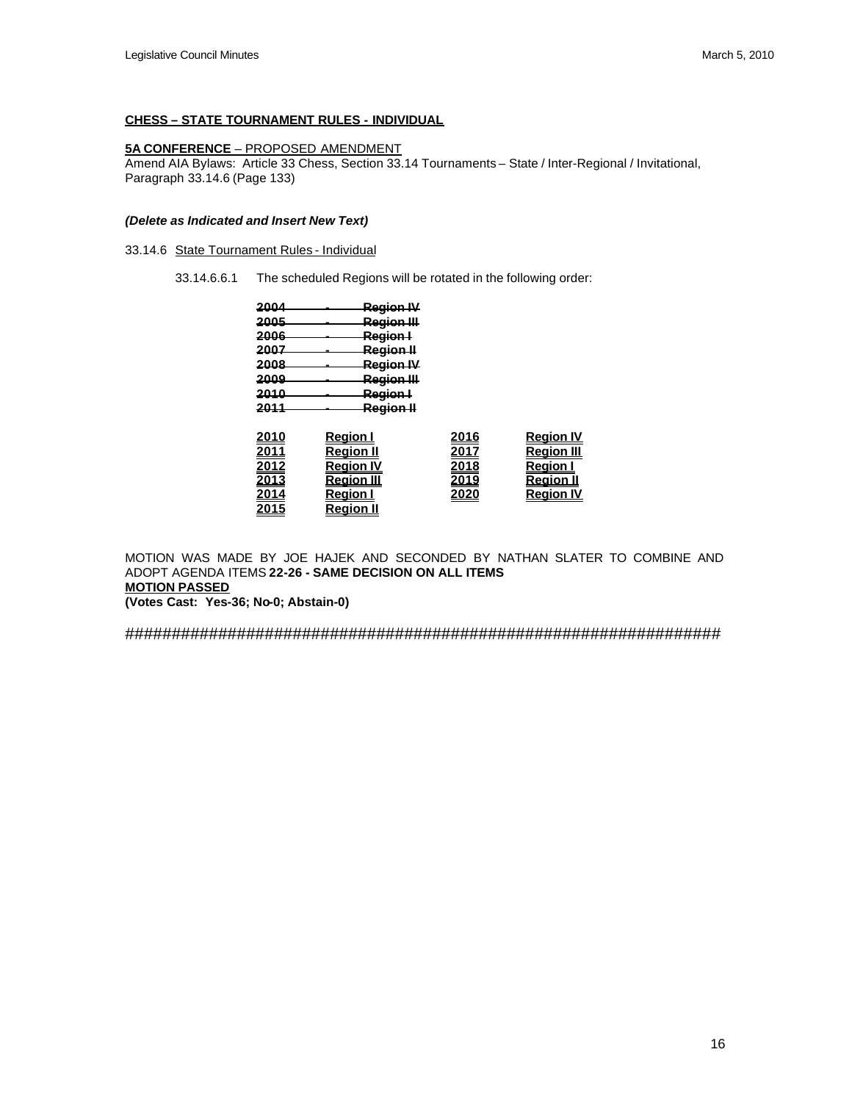## **CHESS – STATE TOURNAMENT RULES - INDIVIDUAL**

# **5A CONFERENCE** – PROPOSED AMENDMENT

Amend AIA Bylaws: Article 33 Chess, Section 33.14 Tournaments – State / Inter-Regional / Invitational, Paragraph 33.14.6 (Page 133)

### *(Delete as Indicated and Insert New Text)*

33.14.6 State Tournament Rules - Individual

33.14.6.6.1 The scheduled Regions will be rotated in the following order:

| 2004 | <del>Region IV</del>  |
|------|-----------------------|
| 2005 | Region III            |
| 2006 | Region I              |
| 2007 | <del>Region II</del>  |
| 2008 | <del>Region IV</del>  |
| 2009 | <del>Region III</del> |
| 2010 |                       |
|      | Region I              |
| 2011 | Region II             |
|      |                       |

| 2010         | <u>Reaion I</u>   | 2016 | <b>Region IV</b>  |
|--------------|-------------------|------|-------------------|
| <u> 2011</u> | <b>Region II</b>  | 2017 | <b>Region III</b> |
| 2012         | <b>Region IV</b>  | 2018 | <b>Region I</b>   |
| <u> 2013</u> | <b>Region III</b> | 2019 | <u>Reaion II</u>  |
| 2014         | <u>Reaion I</u>   | 2020 | <b>Region IV</b>  |
| 2015         | <b>Region II</b>  |      |                   |

MOTION WAS MADE BY JOE HAJEK AND SECONDED BY NATHAN SLATER TO COMBINE AND ADOPT AGENDA ITEMS **22-26 - SAME DECISION ON ALL ITEMS MOTION PASSED (Votes Cast: Yes-36; No-0; Abstain-0)**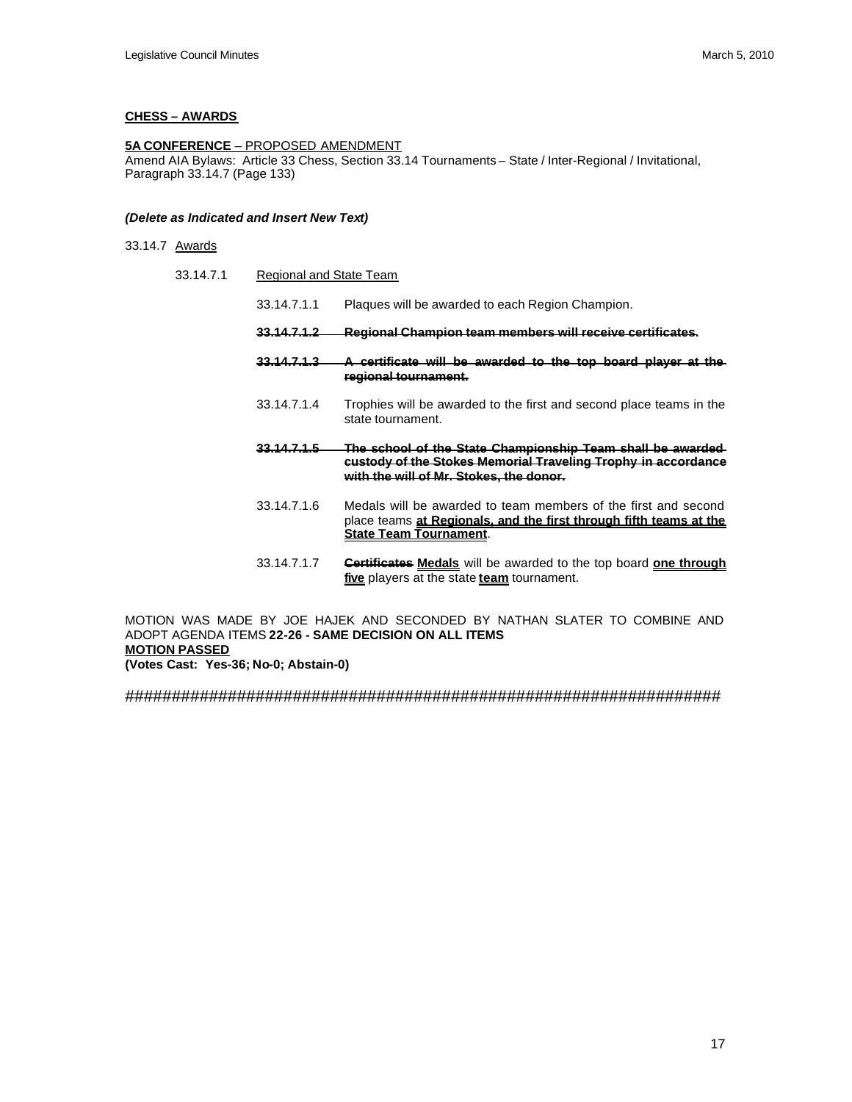# **CHESS – AWARDS**

# **5A CONFERENCE** – PROPOSED AMENDMENT

Amend AIA Bylaws: Article 33 Chess, Section 33.14 Tournaments – State / Inter-Regional / Invitational, Paragraph 33.14.7 (Page 133)

#### *(Delete as Indicated and Insert New Text)*

33.14.7 Awards

 $33.14.7.1$ 

| Regional and State Team |                                                                                                                                                                                |  |
|-------------------------|--------------------------------------------------------------------------------------------------------------------------------------------------------------------------------|--|
| 33.14.7.1.1             | Plaques will be awarded to each Region Champion.                                                                                                                               |  |
|                         | Regional Champion team members will receive certificates.                                                                                                                      |  |
| <u>33.14.7.1.3</u>      | <del>A certificate will be awarded to the top board player at the</del><br>regional tournament.                                                                                |  |
| 33.14.7.1.4             | Trophies will be awarded to the first and second place teams in the<br>state tournament.                                                                                       |  |
| <u>33.14.7.1.5</u>      | <u>The school of the State Championship Team shall be awarded </u><br>custody of the Stokes Memorial Traveling Trophy in accordance<br>with the will of Mr. Stokes, the donor. |  |
| 33.14.7.1.6             | Medals will be awarded to team members of the first and second<br>place teams at Regionals, and the first through fifth teams at the<br><u>State Team Tournament.</u>          |  |
| 33.14.7.1.7             | <b>Certificates Medals</b> will be awarded to the top board <b>one through</b><br>five players at the state team tournament.                                                   |  |

MOTION WAS MADE BY JOE HAJEK AND SECONDED BY NATHAN SLATER TO COMBINE AND ADOPT AGENDA ITEMS **22-26 - SAME DECISION ON ALL ITEMS MOTION PASSED (Votes Cast: Yes-36; No-0; Abstain-0)**